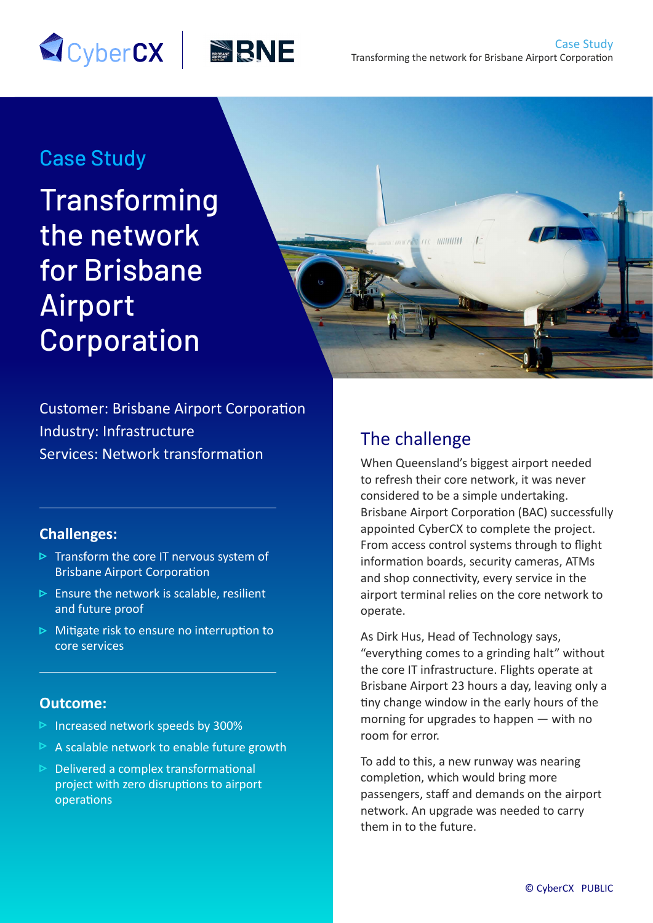# Case Study

**Transforming** the network for Brisbane Airport Corporation

**SCyberCX BRNE** 



Customer: Brisbane Airport Corporation Industry: Infrastructure Services: Network transformation

### **Challenges:**

- $\triangleright$  Transform the core IT nervous system of Brisbane Airport Corporation
- $\triangleright$  Ensure the network is scalable, resilient and future proof
- $\triangleright$  Mitigate risk to ensure no interruption to core services

### **Outcome:**

- $\triangleright$  Increased network speeds by 300%
- A scalable network to enable future growth
- $\triangleright$  Delivered a complex transformational project with zero disruptions to airport operations

# The challenge

When Queensland's biggest airport needed to refresh their core network, it was never considered to be a simple undertaking. Brisbane Airport Corporation (BAC) successfully appointed CyberCX to complete the project. From access control systems through to flight information boards, security cameras, ATMs and shop connectivity, every service in the airport terminal relies on the core network to operate.

As Dirk Hus, Head of Technology says, "everything comes to a grinding halt" without the core IT infrastructure. Flights operate at Brisbane Airport 23 hours a day, leaving only a tiny change window in the early hours of the morning for upgrades to happen — with no room for error.

To add to this, a new runway was nearing completion, which would bring more passengers, staff and demands on the airport network. An upgrade was needed to carry them in to the future.